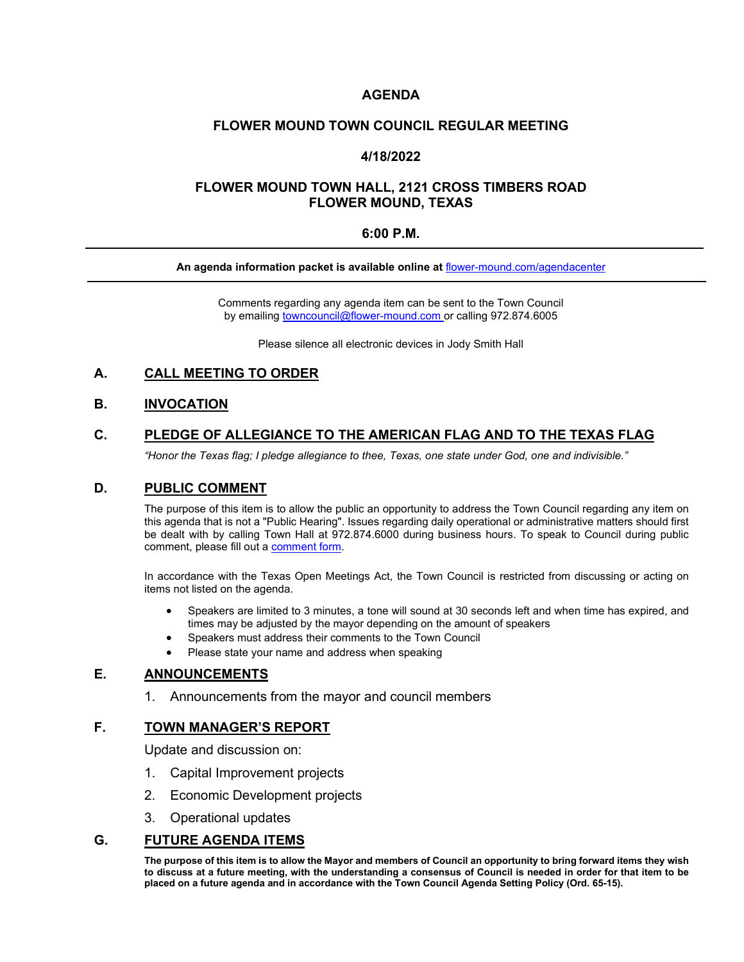### **AGENDA**

#### **FLOWER MOUND TOWN COUNCIL REGULAR MEETING**

### **4/18/2022**

### **FLOWER MOUND TOWN HALL, 2121 CROSS TIMBERS ROAD FLOWER MOUND, TEXAS**

### **6:00 P.M.**

#### **An agenda information packet is available online at** [flower-mound.com/agendacenter](https://www.flower-mound.com/agendacenter)

Comments regarding any agenda item can be sent to the Town Council by emailing **[towncouncil@flower-mound.com](mailto:towncouncil@flower-mound.com)** or calling 972.874.6005

Please silence all electronic devices in Jody Smith Hall

### **A. CALL MEETING TO ORDER**

### **B. INVOCATION**

# **C. PLEDGE OF ALLEGIANCE TO THE AMERICAN FLAG AND TO THE TEXAS FLAG**

*"Honor the Texas flag; I pledge allegiance to thee, Texas, one state under God, one and indivisible."*

#### **D. PUBLIC COMMENT**

The purpose of this item is to allow the public an opportunity to address the Town Council regarding any item on this agenda that is not a "Public Hearing". Issues regarding daily operational or administrative matters should first be dealt with by calling Town Hall at 972.874.6000 during business hours. To speak to Council during public comment, please fill out a [comment form.](https://www.flower-mound.com/DocumentCenter/View/10425)

In accordance with the Texas Open Meetings Act, the Town Council is restricted from discussing or acting on items not listed on the agenda.

- Speakers are limited to 3 minutes, a tone will sound at 30 seconds left and when time has expired, and times may be adjusted by the mayor depending on the amount of speakers
- Speakers must address their comments to the Town Council
- Please state your name and address when speaking

#### **E. ANNOUNCEMENTS**

1. Announcements from the mayor and council members

### **F. TOWN MANAGER'S REPORT**

Update and discussion on:

- 1. Capital Improvement projects
- 2. Economic Development projects
- 3. Operational updates

#### **G. FUTURE AGENDA ITEMS**

**The purpose of this item is to allow the Mayor and members of Council an opportunity to bring forward items they wish to discuss at a future meeting, with the understanding a consensus of Council is needed in order for that item to be placed on a future agenda and in accordance with the Town Council Agenda Setting Policy (Ord. 65-15).**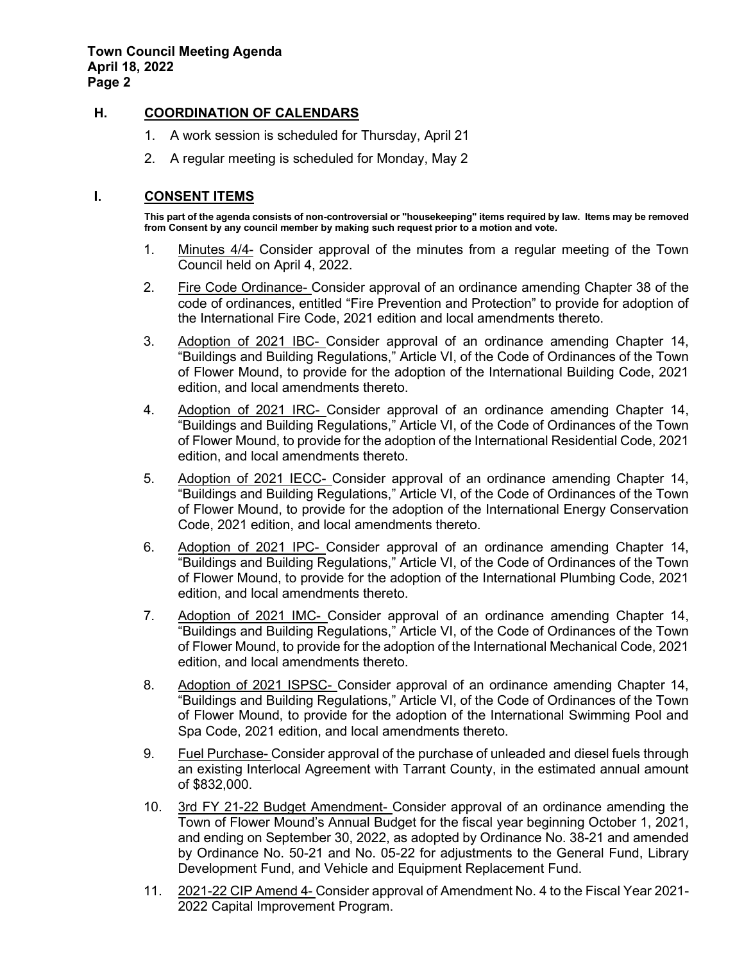# **H. COORDINATION OF CALENDARS**

- 1. A work session is scheduled for Thursday, April 21
- 2. A regular meeting is scheduled for Monday, May 2

# **I. CONSENT ITEMS**

**This part of the agenda consists of non-controversial or "housekeeping" items required by law. Items may be removed from Consent by any council member by making such request prior to a motion and vote.** 

- 1. Minutes 4/4- Consider approval of the minutes from a regular meeting of the Town Council held on April 4, 2022.
- 2. Fire Code Ordinance- Consider approval of an ordinance amending Chapter 38 of the code of ordinances, entitled "Fire Prevention and Protection" to provide for adoption of the International Fire Code, 2021 edition and local amendments thereto.
- 3. Adoption of 2021 IBC- Consider approval of an ordinance amending Chapter 14, "Buildings and Building Regulations," Article VI, of the Code of Ordinances of the Town of Flower Mound, to provide for the adoption of the International Building Code, 2021 edition, and local amendments thereto.
- 4. Adoption of 2021 IRC- Consider approval of an ordinance amending Chapter 14, "Buildings and Building Regulations," Article VI, of the Code of Ordinances of the Town of Flower Mound, to provide for the adoption of the International Residential Code, 2021 edition, and local amendments thereto.
- 5. Adoption of 2021 IECC- Consider approval of an ordinance amending Chapter 14, "Buildings and Building Regulations," Article VI, of the Code of Ordinances of the Town of Flower Mound, to provide for the adoption of the International Energy Conservation Code, 2021 edition, and local amendments thereto.
- 6. Adoption of 2021 IPC- Consider approval of an ordinance amending Chapter 14, "Buildings and Building Regulations," Article VI, of the Code of Ordinances of the Town of Flower Mound, to provide for the adoption of the International Plumbing Code, 2021 edition, and local amendments thereto.
- 7. Adoption of 2021 IMC- Consider approval of an ordinance amending Chapter 14, "Buildings and Building Regulations," Article VI, of the Code of Ordinances of the Town of Flower Mound, to provide for the adoption of the International Mechanical Code, 2021 edition, and local amendments thereto.
- 8. Adoption of 2021 ISPSC- Consider approval of an ordinance amending Chapter 14, "Buildings and Building Regulations," Article VI, of the Code of Ordinances of the Town of Flower Mound, to provide for the adoption of the International Swimming Pool and Spa Code, 2021 edition, and local amendments thereto.
- 9. Fuel Purchase- Consider approval of the purchase of unleaded and diesel fuels through an existing Interlocal Agreement with Tarrant County, in the estimated annual amount of \$832,000.
- 10. 3rd FY 21-22 Budget Amendment- Consider approval of an ordinance amending the Town of Flower Mound's Annual Budget for the fiscal year beginning October 1, 2021, and ending on September 30, 2022, as adopted by Ordinance No. 38-21 and amended by Ordinance No. 50-21 and No. 05-22 for adjustments to the General Fund, Library Development Fund, and Vehicle and Equipment Replacement Fund.
- 11. 2021-22 CIP Amend 4- Consider approval of Amendment No. 4 to the Fiscal Year 2021- 2022 Capital Improvement Program.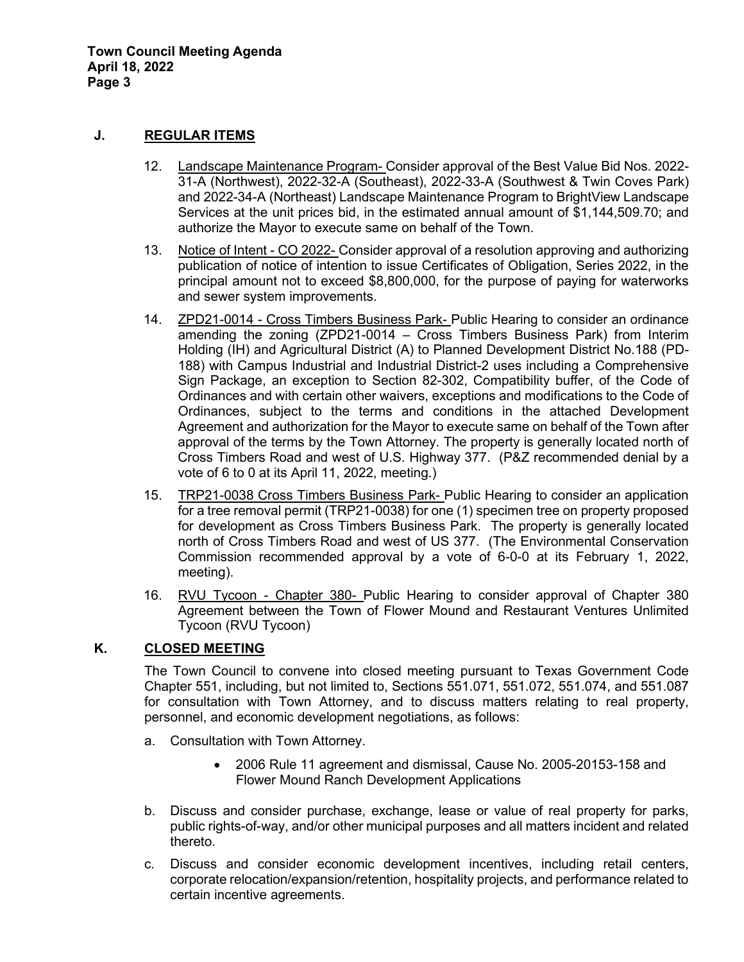**Town Council Meeting Agenda April 18, 2022 Page 3** 

### **J. REGULAR ITEMS**

- 12. Landscape Maintenance Program- Consider approval of the Best Value Bid Nos. 2022- 31-A (Northwest), 2022-32-A (Southeast), 2022-33-A (Southwest & Twin Coves Park) and 2022-34-A (Northeast) Landscape Maintenance Program to BrightView Landscape Services at the unit prices bid, in the estimated annual amount of \$1,144,509.70; and authorize the Mayor to execute same on behalf of the Town.
- 13. Notice of Intent CO 2022- Consider approval of a resolution approving and authorizing publication of notice of intention to issue Certificates of Obligation, Series 2022, in the principal amount not to exceed \$8,800,000, for the purpose of paying for waterworks and sewer system improvements.
- 14. ZPD21-0014 Cross Timbers Business Park- Public Hearing to consider an ordinance amending the zoning (ZPD21-0014 – Cross Timbers Business Park) from Interim Holding (IH) and Agricultural District (A) to Planned Development District No.188 (PD-188) with Campus Industrial and Industrial District-2 uses including a Comprehensive Sign Package, an exception to Section 82-302, Compatibility buffer, of the Code of Ordinances and with certain other waivers, exceptions and modifications to the Code of Ordinances, subject to the terms and conditions in the attached Development Agreement and authorization for the Mayor to execute same on behalf of the Town after approval of the terms by the Town Attorney. The property is generally located north of Cross Timbers Road and west of U.S. Highway 377. (P&Z recommended denial by a vote of 6 to 0 at its April 11, 2022, meeting.)
- 15. TRP21-0038 Cross Timbers Business Park- Public Hearing to consider an application for a tree removal permit (TRP21-0038) for one (1) specimen tree on property proposed for development as Cross Timbers Business Park. The property is generally located north of Cross Timbers Road and west of US 377. (The Environmental Conservation Commission recommended approval by a vote of 6-0-0 at its February 1, 2022, meeting).
- 16. RVU Tycoon Chapter 380- Public Hearing to consider approval of Chapter 380 Agreement between the Town of Flower Mound and Restaurant Ventures Unlimited Tycoon (RVU Tycoon)

# **K. CLOSED MEETING**

The Town Council to convene into closed meeting pursuant to Texas Government Code Chapter 551, including, but not limited to, Sections 551.071, 551.072, 551.074, and 551.087 for consultation with Town Attorney, and to discuss matters relating to real property, personnel, and economic development negotiations, as follows:

- a. Consultation with Town Attorney.
	- 2006 Rule 11 agreement and dismissal, Cause No. 2005-20153-158 and Flower Mound Ranch Development Applications
- b. Discuss and consider purchase, exchange, lease or value of real property for parks, public rights-of-way, and/or other municipal purposes and all matters incident and related thereto.
- c. Discuss and consider economic development incentives, including retail centers, corporate relocation/expansion/retention, hospitality projects, and performance related to certain incentive agreements.